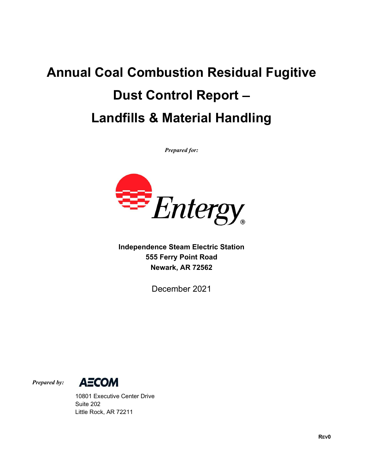## Annual Coal Combustion Residual Fugitive Dust Control Report Landfills & Material Handling

Prepared for:



Independence Steam Electric Station 555 Ferry Point Road Newark, AR 72562

December 2021



 10801 Executive Center Drive Suite 202 Little Rock, AR 72211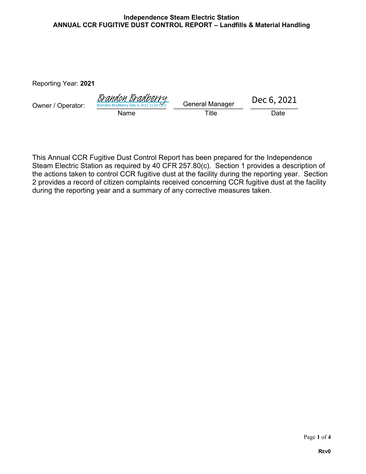## Independence Steam Electric Station ANNUAL CCR FUGITIVE DUST CONTROL REPORT - Landfills & Material Handling

Reporting Year: 2021

| Owner / Operator: | <u>Brandon Bradberry</u><br>Brandon Bradberry (Dec 6, 2021 21:20 CST) | <b>General Manager</b> | Dec 6, 2021 |  |
|-------------------|-----------------------------------------------------------------------|------------------------|-------------|--|
|                   | Name                                                                  | $\tau$ itle            | Date        |  |

This Annual CCR Fugitive Dust Control Report has been prepared for the Independence Steam Electric Station as required by 40 CFR 257.80(c). Section 1 provides a description of the actions taken to control CCR fugitive dust at the facility during the reporting year. Section 2 provides a record of citizen complaints received concerning CCR fugitive dust at the facility during the reporting year and a summary of any corrective measures taken.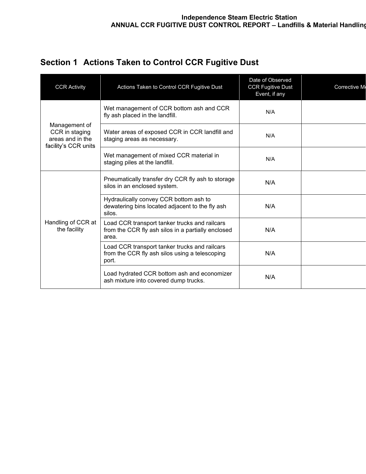| Section 1 Actions Taken to Control CCR Fugitive Dust |  |
|------------------------------------------------------|--|
|------------------------------------------------------|--|

| <b>CCR Activity</b>                                                         | Actions Taken to Control CCR Fugitive Dust                                                                   | Date of Observed<br><b>CCR Fugitive Dust</b><br>Event, if any | Corrective M |
|-----------------------------------------------------------------------------|--------------------------------------------------------------------------------------------------------------|---------------------------------------------------------------|--------------|
| Management of<br>CCR in staging<br>areas and in the<br>facility's CCR units | Wet management of CCR bottom ash and CCR<br>fly ash placed in the landfill.                                  | N/A                                                           |              |
|                                                                             | Water areas of exposed CCR in CCR landfill and<br>staging areas as necessary.                                | N/A                                                           |              |
|                                                                             | Wet management of mixed CCR material in<br>staging piles at the landfill.                                    | N/A                                                           |              |
| Handling of CCR at<br>the facility                                          | Pneumatically transfer dry CCR fly ash to storage<br>silos in an enclosed system.                            | N/A                                                           |              |
|                                                                             | Hydraulically convey CCR bottom ash to<br>dewatering bins located adjacent to the fly ash<br>silos.          | N/A                                                           |              |
|                                                                             | Load CCR transport tanker trucks and railcars<br>from the CCR fly ash silos in a partially enclosed<br>area. | N/A                                                           |              |
|                                                                             | Load CCR transport tanker trucks and railcars<br>from the CCR fly ash silos using a telescoping<br>port.     | N/A                                                           |              |
|                                                                             | Load hydrated CCR bottom ash and economizer<br>ash mixture into covered dump trucks.                         | N/A                                                           |              |
|                                                                             |                                                                                                              |                                                               |              |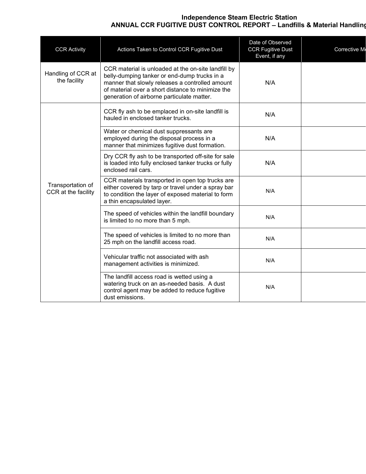## Independence Steam Electric Station ANNUAL CCR FUGITIVE DUST CONTROL REPORT – Landfills & Material Handling

| <b>CCR Activity</b>                      | Actions Taken to Control CCR Fugitive Dust                                                                                                                                                                                                                | Date of Observed<br><b>CCR Fugitive Dust</b><br>Event, if any | Corrective M |
|------------------------------------------|-----------------------------------------------------------------------------------------------------------------------------------------------------------------------------------------------------------------------------------------------------------|---------------------------------------------------------------|--------------|
| Handling of CCR at<br>the facility       | CCR material is unloaded at the on-site landfill by<br>belly-dumping tanker or end-dump trucks in a<br>manner that slowly releases a controlled amount<br>of material over a short distance to minimize the<br>generation of airborne particulate matter. | N/A                                                           |              |
|                                          | CCR fly ash to be emplaced in on-site landfill is<br>hauled in enclosed tanker trucks.                                                                                                                                                                    | N/A                                                           |              |
| Transportation of<br>CCR at the facility | Water or chemical dust suppressants are<br>employed during the disposal process in a<br>manner that minimizes fugitive dust formation.                                                                                                                    | N/A                                                           |              |
|                                          | Dry CCR fly ash to be transported off-site for sale<br>is loaded into fully enclosed tanker trucks or fully<br>enclosed rail cars.                                                                                                                        | N/A                                                           |              |
|                                          | CCR materials transported in open top trucks are<br>either covered by tarp or travel under a spray bar<br>to condition the layer of exposed material to form<br>a thin encapsulated layer.                                                                | N/A                                                           |              |
|                                          | The speed of vehicles within the landfill boundary<br>is limited to no more than 5 mph.                                                                                                                                                                   | N/A                                                           |              |
|                                          | The speed of vehicles is limited to no more than<br>25 mph on the landfill access road.                                                                                                                                                                   | N/A                                                           |              |
|                                          | Vehicular traffic not associated with ash<br>management activities is minimized.                                                                                                                                                                          | N/A                                                           |              |
|                                          | The landfill access road is wetted using a<br>watering truck on an as-needed basis. A dust<br>control agent may be added to reduce fugitive<br>dust emissions.                                                                                            | N/A                                                           |              |